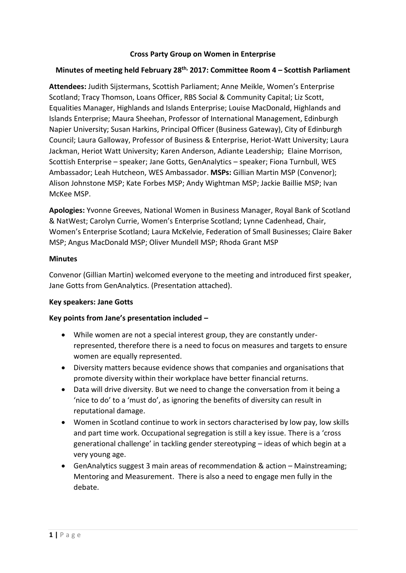### **Cross Party Group on Women in Enterprise**

### **Minutes of meeting held February 28th, 2017: Committee Room 4 – Scottish Parliament**

**Attendees:** Judith Sijstermans, Scottish Parliament; Anne Meikle, Women's Enterprise Scotland; Tracy Thomson, Loans Officer, RBS Social & Community Capital; Liz Scott, Equalities Manager, Highlands and Islands Enterprise; Louise MacDonald, Highlands and Islands Enterprise; Maura Sheehan, Professor of International Management, Edinburgh Napier University; Susan Harkins, Principal Officer (Business Gateway), City of Edinburgh Council; Laura Galloway, Professor of Business & Enterprise, Heriot-Watt University; Laura Jackman, Heriot Watt University; Karen Anderson, Adiante Leadership; Elaine Morrison, Scottish Enterprise – speaker; Jane Gotts, GenAnalytics – speaker; Fiona Turnbull, WES Ambassador; Leah Hutcheon, WES Ambassador. **MSPs:** Gillian Martin MSP (Convenor); Alison Johnstone MSP; Kate Forbes MSP; Andy Wightman MSP; Jackie Baillie MSP; Ivan McKee MSP.

**Apologies:** Yvonne Greeves, National Women in Business Manager, Royal Bank of Scotland & NatWest; Carolyn Currie, Women's Enterprise Scotland; Lynne Cadenhead, Chair, Women's Enterprise Scotland; Laura McKelvie, Federation of Small Businesses; Claire Baker MSP; Angus MacDonald MSP; Oliver Mundell MSP; Rhoda Grant MSP

### **Minutes**

Convenor (Gillian Martin) welcomed everyone to the meeting and introduced first speaker, Jane Gotts from GenAnalytics. (Presentation attached).

# **Key speakers: Jane Gotts**

# **Key points from Jane's presentation included –**

- While women are not a special interest group, they are constantly underrepresented, therefore there is a need to focus on measures and targets to ensure women are equally represented.
- Diversity matters because evidence shows that companies and organisations that promote diversity within their workplace have better financial returns.
- Data will drive diversity. But we need to change the conversation from it being a 'nice to do' to a 'must do', as ignoring the benefits of diversity can result in reputational damage.
- Women in Scotland continue to work in sectors characterised by low pay, low skills and part time work. Occupational segregation is still a key issue. There is a 'cross generational challenge' in tackling gender stereotyping – ideas of which begin at a very young age.
- GenAnalytics suggest 3 main areas of recommendation & action Mainstreaming; Mentoring and Measurement. There is also a need to engage men fully in the debate.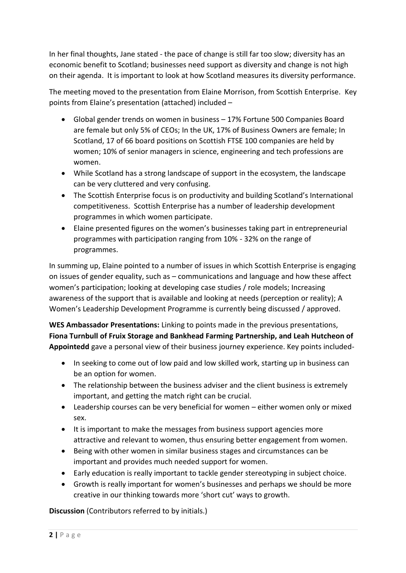In her final thoughts, Jane stated - the pace of change is still far too slow; diversity has an economic benefit to Scotland; businesses need support as diversity and change is not high on their agenda. It is important to look at how Scotland measures its diversity performance.

The meeting moved to the presentation from Elaine Morrison, from Scottish Enterprise. Key points from Elaine's presentation (attached) included –

- Global gender trends on women in business 17% Fortune 500 Companies Board are female but only 5% of CEOs; In the UK, 17% of Business Owners are female; In Scotland, 17 of 66 board positions on Scottish FTSE 100 companies are held by women; 10% of senior managers in science, engineering and tech professions are women.
- While Scotland has a strong landscape of support in the ecosystem, the landscape can be very cluttered and very confusing.
- The Scottish Enterprise focus is on productivity and building Scotland's International competitiveness. Scottish Enterprise has a number of leadership development programmes in which women participate.
- Elaine presented figures on the women's businesses taking part in entrepreneurial programmes with participation ranging from 10% - 32% on the range of programmes.

In summing up, Elaine pointed to a number of issues in which Scottish Enterprise is engaging on issues of gender equality, such as – communications and language and how these affect women's participation; looking at developing case studies / role models; Increasing awareness of the support that is available and looking at needs (perception or reality); A Women's Leadership Development Programme is currently being discussed / approved.

**WES Ambassador Presentations:** Linking to points made in the previous presentations, **Fiona Turnbull of Fruix Storage and Bankhead Farming Partnership, and Leah Hutcheon of Appointedd** gave a personal view of their business journey experience. Key points included-

- In seeking to come out of low paid and low skilled work, starting up in business can be an option for women.
- The relationship between the business adviser and the client business is extremely important, and getting the match right can be crucial.
- Leadership courses can be very beneficial for women either women only or mixed sex.
- It is important to make the messages from business support agencies more attractive and relevant to women, thus ensuring better engagement from women.
- Being with other women in similar business stages and circumstances can be important and provides much needed support for women.
- Early education is really important to tackle gender stereotyping in subject choice.
- Growth is really important for women's businesses and perhaps we should be more creative in our thinking towards more 'short cut' ways to growth.

**Discussion** (Contributors referred to by initials.)